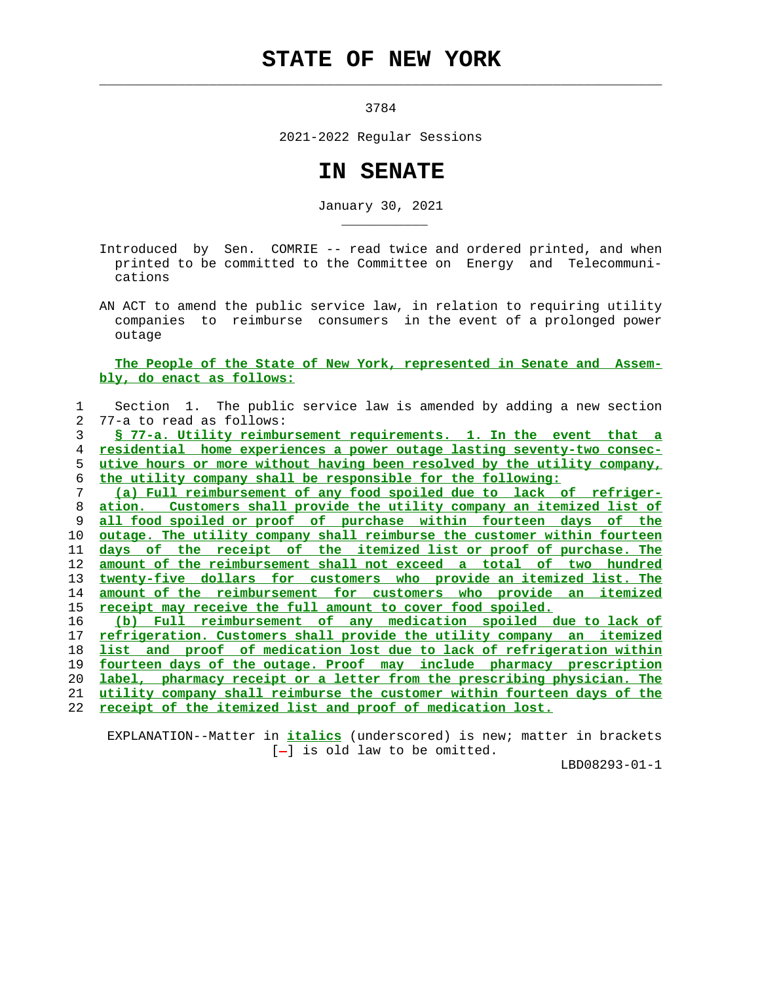## **STATE OF NEW YORK**

 $\mathcal{L}_\text{max} = \frac{1}{2} \sum_{i=1}^{n} \frac{1}{2} \sum_{i=1}^{n} \frac{1}{2} \sum_{i=1}^{n} \frac{1}{2} \sum_{i=1}^{n} \frac{1}{2} \sum_{i=1}^{n} \frac{1}{2} \sum_{i=1}^{n} \frac{1}{2} \sum_{i=1}^{n} \frac{1}{2} \sum_{i=1}^{n} \frac{1}{2} \sum_{i=1}^{n} \frac{1}{2} \sum_{i=1}^{n} \frac{1}{2} \sum_{i=1}^{n} \frac{1}{2} \sum_{i=1}^{n} \frac{1$ 

\_\_\_\_\_\_\_\_\_\_\_

3784

2021-2022 Regular Sessions

## **IN SENATE**

January 30, 2021

 Introduced by Sen. COMRIE -- read twice and ordered printed, and when printed to be committed to the Committee on Energy and Telecommuni cations

 AN ACT to amend the public service law, in relation to requiring utility companies to reimburse consumers in the event of a prolonged power outage

## **The People of the State of New York, represented in Senate and Assem bly, do enact as follows:**

 1 Section 1. The public service law is amended by adding a new section 2 77-a to read as follows: **§ 77-a. Utility reimbursement requirements. 1. In the event that a residential home experiences a power outage lasting seventy-two consec- utive hours or more without having been resolved by the utility company, the utility company shall be responsible for the following: (a) Full reimbursement of any food spoiled due to lack of refriger- ation. Customers shall provide the utility company an itemized list of all food spoiled or proof of purchase within fourteen days of the outage. The utility company shall reimburse the customer within fourteen days of the receipt of the itemized list or proof of purchase. The amount of the reimbursement shall not exceed a total of two hundred twenty-five dollars for customers who provide an itemized list. The amount of the reimbursement for customers who provide an itemized receipt may receive the full amount to cover food spoiled. (b) Full reimbursement of any medication spoiled due to lack of refrigeration. Customers shall provide the utility company an itemized list and proof of medication lost due to lack of refrigeration within fourteen days of the outage. Proof may include pharmacy prescription label, pharmacy receipt or a letter from the prescribing physician. The utility company shall reimburse the customer within fourteen days of the**

22 **receipt of the itemized list and proof of medication lost.**

 EXPLANATION--Matter in **italics** (underscored) is new; matter in brackets  $[-]$  is old law to be omitted.

LBD08293-01-1